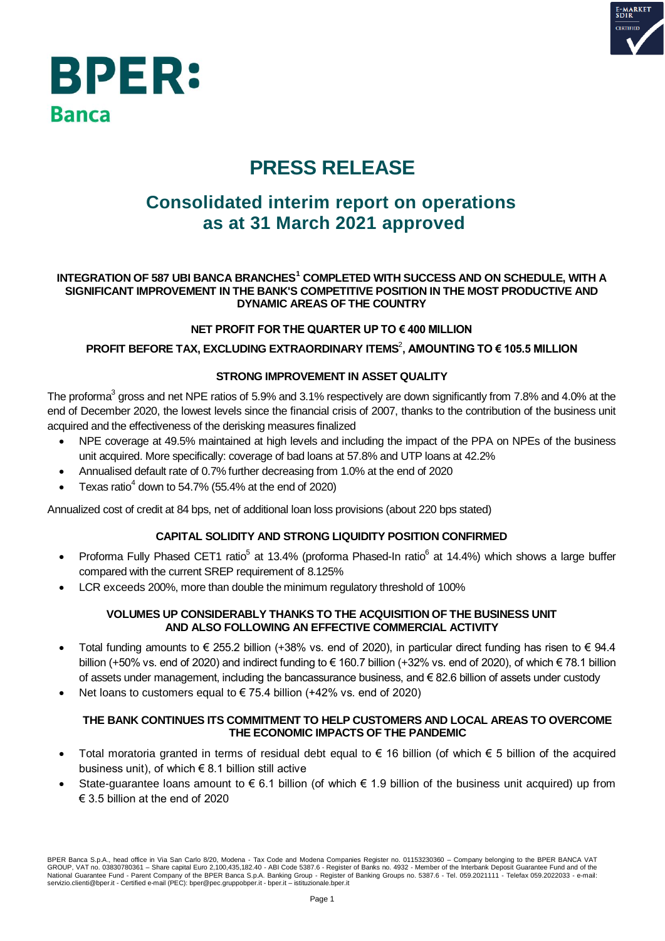



# **PRESS RELEASE**

## **Consolidated interim report on operations as at 31 March 2021 approved**

#### **INTEGRATION OF 587 UBI BANCA BRANCHES<sup>1</sup> COMPLETED WITH SUCCESS AND ON SCHEDULE, WITH A SIGNIFICANT IMPROVEMENT IN THE BANK'S COMPETITIVE POSITION IN THE MOST PRODUCTIVE AND DYNAMIC AREAS OF THE COUNTRY**

### **NET PROFIT FOR THE QUARTER UP TO € 400 MILLION**

#### **PROFIT BEFORE TAX, EXCLUDING EXTRAORDINARY ITEMS**<sup>2</sup> **, AMOUNTING TO € 105.5 MILLION**

### **STRONG IMPROVEMENT IN ASSET QUALITY**

The proforma<sup>3</sup> gross and net NPE ratios of 5.9% and 3.1% respectively are down significantly from 7.8% and 4.0% at the end of December 2020, the lowest levels since the financial crisis of 2007, thanks to the contribution of the business unit acquired and the effectiveness of the derisking measures finalized

- NPE coverage at 49.5% maintained at high levels and including the impact of the PPA on NPEs of the business unit acquired. More specifically: coverage of bad loans at 57.8% and UTP loans at 42.2%
- Annualised default rate of 0.7% further decreasing from 1.0% at the end of 2020
- Texas ratio<sup>4</sup> down to 54.7% (55.4% at the end of 2020)

Annualized cost of credit at 84 bps, net of additional loan loss provisions (about 220 bps stated)

#### **CAPITAL SOLIDITY AND STRONG LIQUIDITY POSITION CONFIRMED**

- Proforma Fully Phased CET1 ratio<sup>5</sup> at 13.4% (proforma Phased-In ratio<sup>6</sup> at 14.4%) which shows a large buffer compared with the current SREP requirement of 8.125%
- LCR exceeds 200%, more than double the minimum regulatory threshold of 100%

#### **VOLUMES UP CONSIDERABLY THANKS TO THE ACQUISITION OF THE BUSINESS UNIT AND ALSO FOLLOWING AN EFFECTIVE COMMERCIAL ACTIVITY**

- Total funding amounts to  $\in$  255.2 billion (+38% vs. end of 2020), in particular direct funding has risen to  $\in$  94.4 billion (+50% vs. end of 2020) and indirect funding to  $\in$  160.7 billion (+32% vs. end of 2020), of which  $\in$  78.1 billion of assets under management, including the bancassurance business, and € 82.6 billion of assets under custody
- Net loans to customers equal to € 75.4 billion (+42% vs. end of 2020)

#### **THE BANK CONTINUES ITS COMMITMENT TO HELP CUSTOMERS AND LOCAL AREAS TO OVERCOME THE ECONOMIC IMPACTS OF THE PANDEMIC**

- Total moratoria granted in terms of residual debt equal to € 16 billion (of which € 5 billion of the acquired business unit), of which € 8.1 billion still active
- State-guarantee loans amount to  $\epsilon$  6.1 billion (of which  $\epsilon$  1.9 billion of the business unit acquired) up from  $\epsilon$  3.5 billion at the end of 2020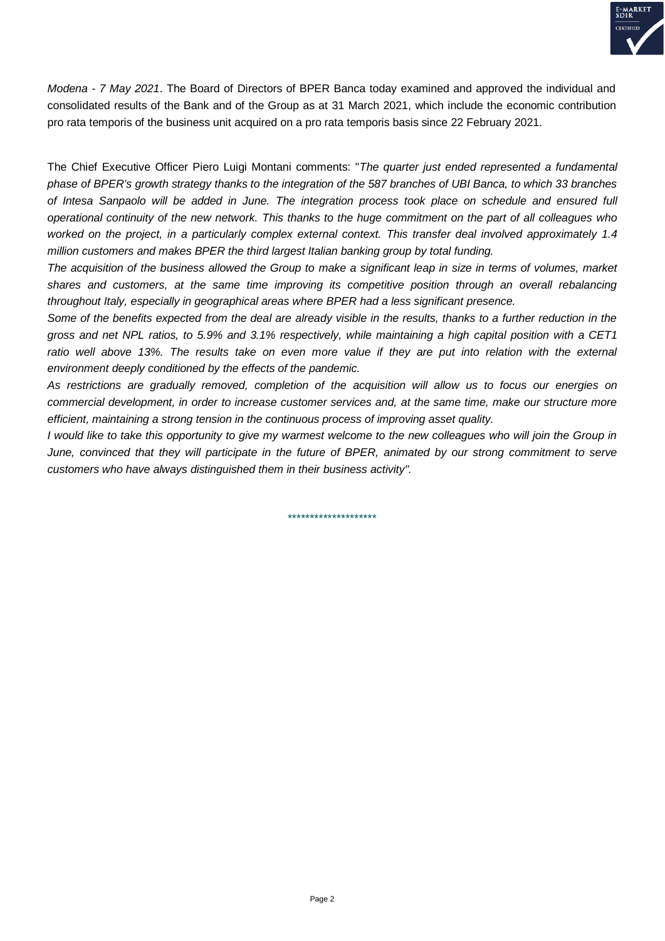

*Modena - 7 May 2021*. The Board of Directors of BPER Banca today examined and approved the individual and consolidated results of the Bank and of the Group as at 31 March 2021, which include the economic contribution pro rata temporis of the business unit acquired on a pro rata temporis basis since 22 February 2021.

The Chief Executive Officer Piero Luigi Montani comments: "*The quarter just ended represented a fundamental phase of BPER's growth strategy thanks to the integration of the 587 branches of UBI Banca, to which 33 branches of Intesa Sanpaolo will be added in June. The integration process took place on schedule and ensured full operational continuity of the new network. This thanks to the huge commitment on the part of all colleagues who worked on the project, in a particularly complex external context. This transfer deal involved approximately 1.4 million customers and makes BPER the third largest Italian banking group by total funding.*

*The acquisition of the business allowed the Group to make a significant leap in size in terms of volumes, market shares and customers, at the same time improving its competitive position through an overall rebalancing throughout Italy, especially in geographical areas where BPER had a less significant presence.* 

*Some of the benefits expected from the deal are already visible in the results, thanks to a further reduction in the gross and net NPL ratios, to 5.9% and 3.1% respectively, while maintaining a high capital position with a CET1 ratio well above 13%. The results take on even more value if they are put into relation with the external environment deeply conditioned by the effects of the pandemic.*

*As restrictions are gradually removed, completion of the acquisition will allow us to focus our energies on commercial development, in order to increase customer services and, at the same time, make our structure more efficient, maintaining a strong tension in the continuous process of improving asset quality.*

*I* would like to take this opportunity to give my warmest welcome to the new colleagues who will join the Group in *June, convinced that they will participate in the future of BPER, animated by our strong commitment to serve customers who have always distinguished them in their business activity".*

\*\*\*\*\*\*\*\*\*\*\*\*\*\*\*\*\*\*\*\*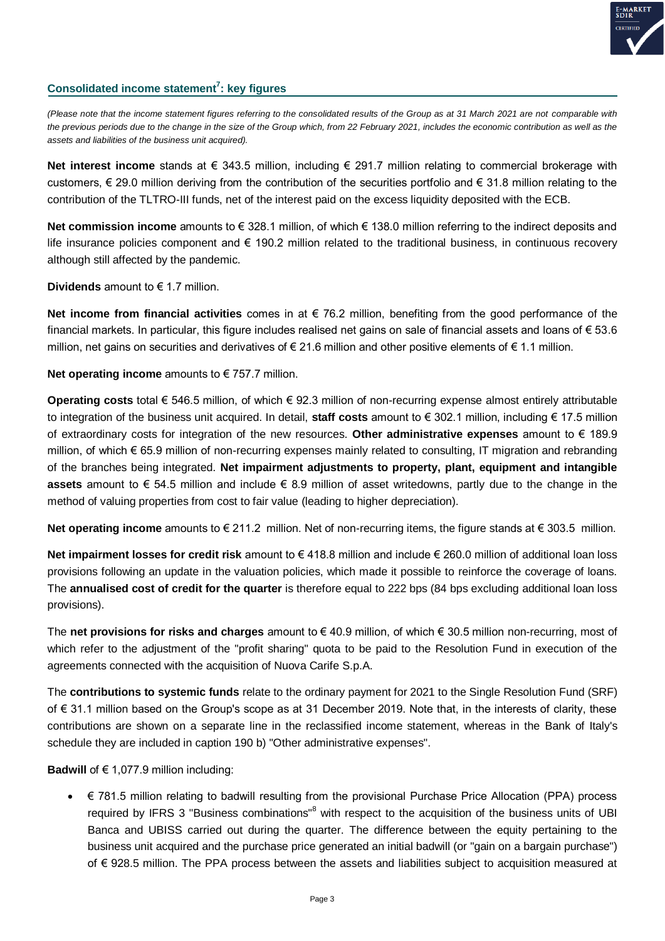

### **Consolidated income statement<sup>7</sup> : key figures**

*(Please note that the income statement figures referring to the consolidated results of the Group as at 31 March 2021 are not comparable with the previous periods due to the change in the size of the Group which, from 22 February 2021, includes the economic contribution as well as the assets and liabilities of the business unit acquired).*

**Net interest income** stands at € 343.5 million, including € 291.7 million relating to commercial brokerage with customers, € 29.0 million deriving from the contribution of the securities portfolio and € 31.8 million relating to the contribution of the TLTRO-III funds, net of the interest paid on the excess liquidity deposited with the ECB.

**Net commission income** amounts to € 328.1 million, of which € 138.0 million referring to the indirect deposits and life insurance policies component and € 190.2 million related to the traditional business, in continuous recovery although still affected by the pandemic.

### **Dividends** amount to € 1.7 million.

**Net income from financial activities** comes in at € 76.2 million, benefiting from the good performance of the financial markets. In particular, this figure includes realised net gains on sale of financial assets and loans of € 53.6 million, net gains on securities and derivatives of  $\epsilon$  21.6 million and other positive elements of  $\epsilon$  1.1 million.

**Net operating income** amounts to € 757.7 million.

**Operating costs** total € 546.5 million, of which € 92.3 million of non-recurring expense almost entirely attributable to integration of the business unit acquired. In detail, **staff costs** amount to € 302.1 million, including € 17.5 million of extraordinary costs for integration of the new resources. **Other administrative expenses** amount to € 189.9 million, of which € 65.9 million of non-recurring expenses mainly related to consulting, IT migration and rebranding of the branches being integrated. **Net impairment adjustments to property, plant, equipment and intangible assets** amount to € 54.5 million and include € 8.9 million of asset writedowns, partly due to the change in the method of valuing properties from cost to fair value (leading to higher depreciation).

**Net operating income** amounts to € 211.2 million. Net of non-recurring items, the figure stands at € 303.5 million.

**Net impairment losses for credit risk** amount to € 418.8 million and include € 260.0 million of additional loan loss provisions following an update in the valuation policies, which made it possible to reinforce the coverage of loans. The **annualised cost of credit for the quarter** is therefore equal to 222 bps (84 bps excluding additional loan loss provisions).

The **net provisions for risks and charges** amount to € 40.9 million, of which € 30.5 million non-recurring, most of which refer to the adjustment of the "profit sharing" quota to be paid to the Resolution Fund in execution of the agreements connected with the acquisition of Nuova Carife S.p.A.

The **contributions to systemic funds** relate to the ordinary payment for 2021 to the Single Resolution Fund (SRF) of € 31.1 million based on the Group's scope as at 31 December 2019. Note that, in the interests of clarity, these contributions are shown on a separate line in the reclassified income statement, whereas in the Bank of Italy's schedule they are included in caption 190 b) "Other administrative expenses".

**Badwill** of  $\epsilon$  1,077.9 million including:

 € 781.5 million relating to badwill resulting from the provisional Purchase Price Allocation (PPA) process required by IFRS 3 "Business combinations"<sup>8</sup> with respect to the acquisition of the business units of UBI Banca and UBISS carried out during the quarter. The difference between the equity pertaining to the business unit acquired and the purchase price generated an initial badwill (or "gain on a bargain purchase") of € 928.5 million. The PPA process between the assets and liabilities subject to acquisition measured at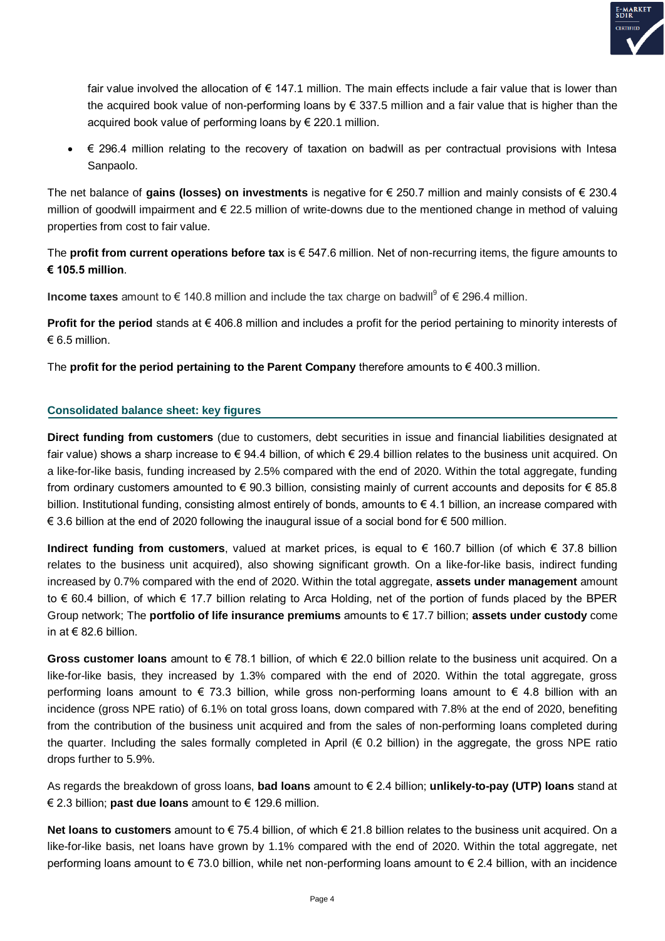

fair value involved the allocation of  $\epsilon$  147.1 million. The main effects include a fair value that is lower than the acquired book value of non-performing loans by € 337.5 million and a fair value that is higher than the acquired book value of performing loans by € 220.1 million.

 € 296.4 million relating to the recovery of taxation on badwill as per contractual provisions with Intesa Sanpaolo.

The net balance of **gains (losses) on investments** is negative for € 250.7 million and mainly consists of € 230.4 million of goodwill impairment and € 22.5 million of write-downs due to the mentioned change in method of valuing properties from cost to fair value.

The **profit from current operations before tax** is € 547.6 million. Net of non-recurring items, the figure amounts to **€ 105.5 million**.

**Income taxes** amount to € 140.8 million and include the tax charge on badwill<sup>9</sup> of € 296.4 million.

**Profit for the period** stands at € 406.8 million and includes a profit for the period pertaining to minority interests of  $€ 6.5$  million.

The **profit for the period pertaining to the Parent Company** therefore amounts to € 400.3 million.

### **Consolidated balance sheet: key figures**

**Direct funding from customers** (due to customers, debt securities in issue and financial liabilities designated at fair value) shows a sharp increase to  $\epsilon$  94.4 billion, of which  $\epsilon$  29.4 billion relates to the business unit acquired. On a like-for-like basis, funding increased by 2.5% compared with the end of 2020. Within the total aggregate, funding from ordinary customers amounted to € 90.3 billion, consisting mainly of current accounts and deposits for € 85.8 billion. Institutional funding, consisting almost entirely of bonds, amounts to € 4.1 billion, an increase compared with € 3.6 billion at the end of 2020 following the inaugural issue of a social bond for € 500 million.

**Indirect funding from customers**, valued at market prices, is equal to € 160.7 billion (of which € 37.8 billion relates to the business unit acquired), also showing significant growth. On a like-for-like basis, indirect funding increased by 0.7% compared with the end of 2020. Within the total aggregate, **assets under management** amount to € 60.4 billion, of which € 17.7 billion relating to Arca Holding, net of the portion of funds placed by the BPER Group network; The **portfolio of life insurance premiums** amounts to € 17.7 billion; **assets under custody** come in at € 82.6 billion

**Gross customer loans** amount to € 78.1 billion, of which € 22.0 billion relate to the business unit acquired. On a like-for-like basis, they increased by 1.3% compared with the end of 2020. Within the total aggregate, gross performing loans amount to  $\in$  73.3 billion, while gross non-performing loans amount to  $\in$  4.8 billion with an incidence (gross NPE ratio) of 6.1% on total gross loans, down compared with 7.8% at the end of 2020, benefiting from the contribution of the business unit acquired and from the sales of non-performing loans completed during the quarter. Including the sales formally completed in April  $(\epsilon \ 0.2 \text{ billion})$  in the aggregate, the gross NPE ratio drops further to 5.9%.

As regards the breakdown of gross loans, **bad loans** amount to € 2.4 billion; **unlikely-to-pay (UTP) loans** stand at € 2.3 billion; **past due loans** amount to € 129.6 million.

**Net loans to customers** amount to € 75.4 billion, of which € 21.8 billion relates to the business unit acquired. On a like-for-like basis, net loans have grown by 1.1% compared with the end of 2020. Within the total aggregate, net performing loans amount to € 73.0 billion, while net non-performing loans amount to € 2.4 billion, with an incidence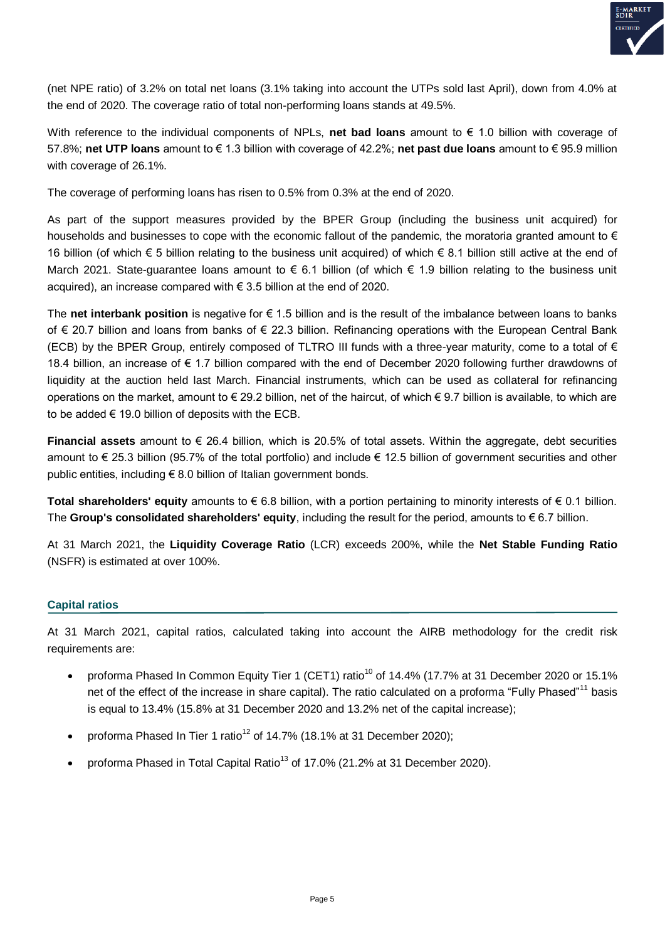

(net NPE ratio) of 3.2% on total net loans (3.1% taking into account the UTPs sold last April), down from 4.0% at the end of 2020. The coverage ratio of total non-performing loans stands at 49.5%.

With reference to the individual components of NPLs, **net bad loans** amount to € 1.0 billion with coverage of 57.8%; **net UTP loans** amount to € 1.3 billion with coverage of 42.2%; **net past due loans** amount to € 95.9 million with coverage of 26.1%.

The coverage of performing loans has risen to 0.5% from 0.3% at the end of 2020.

As part of the support measures provided by the BPER Group (including the business unit acquired) for households and businesses to cope with the economic fallout of the pandemic, the moratoria granted amount to € 16 billion (of which € 5 billion relating to the business unit acquired) of which € 8.1 billion still active at the end of March 2021. State-guarantee loans amount to € 6.1 billion (of which € 1.9 billion relating to the business unit acquired), an increase compared with € 3.5 billion at the end of 2020.

The **net interbank position** is negative for € 1.5 billion and is the result of the imbalance between loans to banks of € 20.7 billion and loans from banks of € 22.3 billion. Refinancing operations with the European Central Bank (ECB) by the BPER Group, entirely composed of TLTRO III funds with a three-year maturity, come to a total of € 18.4 billion, an increase of € 1.7 billion compared with the end of December 2020 following further drawdowns of liquidity at the auction held last March. Financial instruments, which can be used as collateral for refinancing operations on the market, amount to  $\epsilon$  29.2 billion, net of the haircut, of which  $\epsilon$  9.7 billion is available, to which are to be added  $\epsilon$  19.0 billion of deposits with the ECB.

**Financial assets** amount to € 26.4 billion, which is 20.5% of total assets. Within the aggregate, debt securities amount to € 25.3 billion (95.7% of the total portfolio) and include € 12.5 billion of government securities and other public entities, including € 8.0 billion of Italian government bonds.

**Total shareholders' equity** amounts to € 6.8 billion, with a portion pertaining to minority interests of € 0.1 billion. The **Group's consolidated shareholders' equity**, including the result for the period, amounts to € 6.7 billion.

At 31 March 2021, the **Liquidity Coverage Ratio** (LCR) exceeds 200%, while the **Net Stable Funding Ratio** (NSFR) is estimated at over 100%.

#### **Capital ratios**

At 31 March 2021, capital ratios, calculated taking into account the AIRB methodology for the credit risk requirements are:

- proforma Phased In Common Equity Tier 1 (CET1) ratio<sup>10</sup> of 14.4% (17.7% at 31 December 2020 or 15.1% net of the effect of the increase in share capital). The ratio calculated on a proforma "Fully Phased"<sup>11</sup> basis is equal to 13.4% (15.8% at 31 December 2020 and 13.2% net of the capital increase);
- proforma Phased In Tier 1 ratio<sup>12</sup> of 14.7% (18.1% at 31 December 2020);
- proforma Phased in Total Capital Ratio<sup>13</sup> of 17.0% (21.2% at 31 December 2020).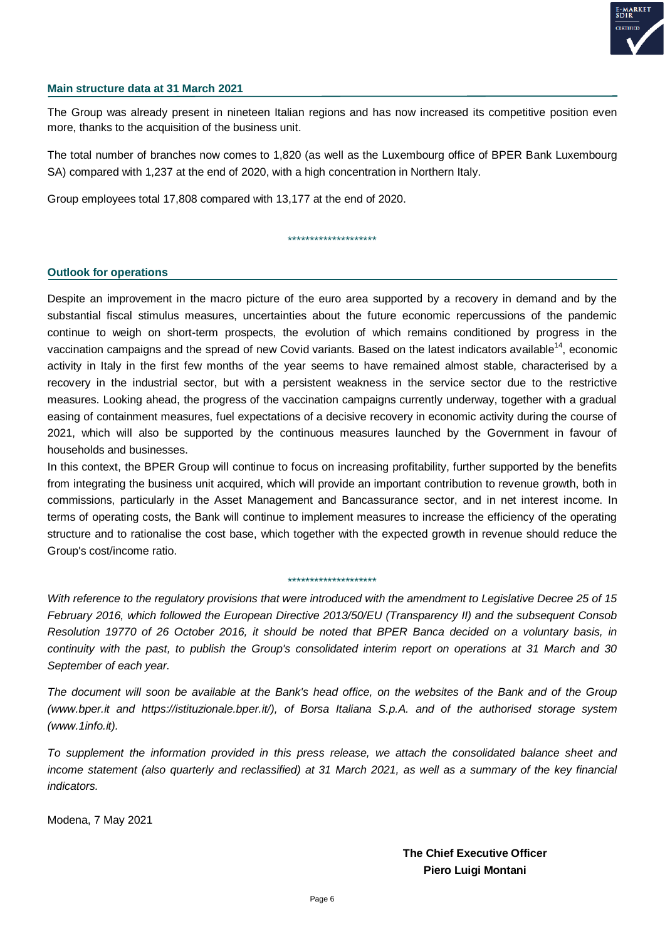

#### **Main structure data at 31 March 2021**

The Group was already present in nineteen Italian regions and has now increased its competitive position even more, thanks to the acquisition of the business unit.

The total number of branches now comes to 1,820 (as well as the Luxembourg office of BPER Bank Luxembourg SA) compared with 1,237 at the end of 2020, with a high concentration in Northern Italy.

Group employees total 17,808 compared with 13,177 at the end of 2020.

\*\*\*\*\*\*\*\*\*\*\*\*\*\*\*\*\*\*\*\*

#### **Outlook for operations**

Despite an improvement in the macro picture of the euro area supported by a recovery in demand and by the substantial fiscal stimulus measures, uncertainties about the future economic repercussions of the pandemic continue to weigh on short-term prospects, the evolution of which remains conditioned by progress in the vaccination campaigns and the spread of new Covid variants. Based on the latest indicators available<sup>14</sup>, economic activity in Italy in the first few months of the year seems to have remained almost stable, characterised by a recovery in the industrial sector, but with a persistent weakness in the service sector due to the restrictive measures. Looking ahead, the progress of the vaccination campaigns currently underway, together with a gradual easing of containment measures, fuel expectations of a decisive recovery in economic activity during the course of 2021, which will also be supported by the continuous measures launched by the Government in favour of households and businesses.

In this context, the BPER Group will continue to focus on increasing profitability, further supported by the benefits from integrating the business unit acquired, which will provide an important contribution to revenue growth, both in commissions, particularly in the Asset Management and Bancassurance sector, and in net interest income. In terms of operating costs, the Bank will continue to implement measures to increase the efficiency of the operating structure and to rationalise the cost base, which together with the expected growth in revenue should reduce the Group's cost/income ratio.

#### \*\*\*\*\*\*\*\*\*\*\*\*\*\*\*\*\*\*\*\*

*With reference to the regulatory provisions that were introduced with the amendment to Legislative Decree 25 of 15 February 2016, which followed the European Directive 2013/50/EU (Transparency II) and the subsequent Consob Resolution 19770 of 26 October 2016, it should be noted that BPER Banca decided on a voluntary basis, in continuity with the past, to publish the Group's consolidated interim report on operations at 31 March and 30 September of each year.*

*The document will soon be available at the Bank's head office, on the websites of the Bank and of the Group (www.bper.it and https://istituzionale.bper.it/), of Borsa Italiana S.p.A. and of the authorised storage system (www.1info.it).*

*To supplement the information provided in this press release, we attach the consolidated balance sheet and income statement (also quarterly and reclassified) at 31 March 2021, as well as a summary of the key financial indicators.*

Modena, 7 May 2021

**The Chief Executive Officer Piero Luigi Montani**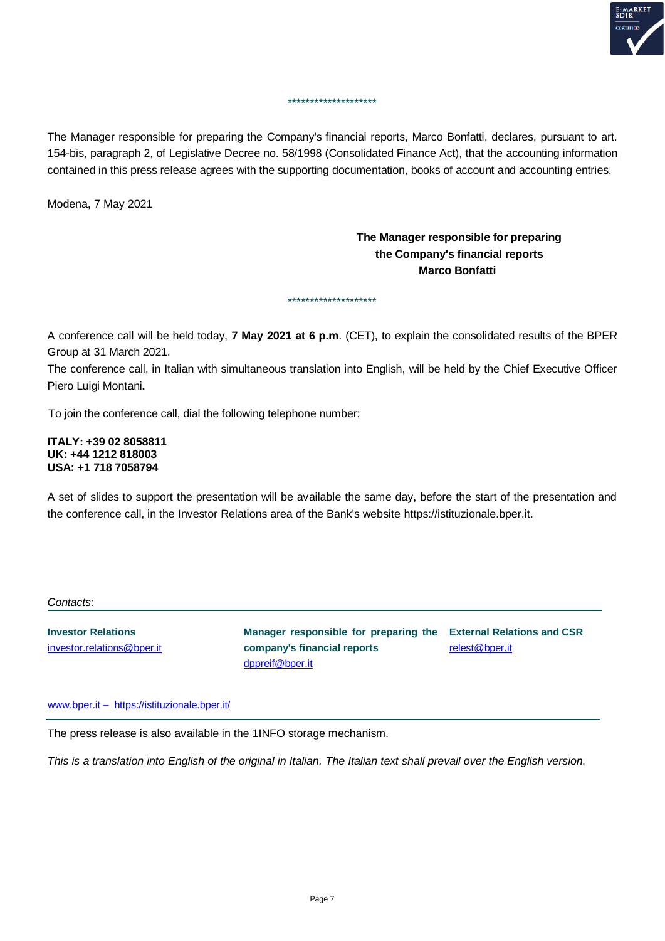

The Manager responsible for preparing the Company's financial reports, Marco Bonfatti, declares, pursuant to art. 154-bis, paragraph 2, of Legislative Decree no. 58/1998 (Consolidated Finance Act), that the accounting information contained in this press release agrees with the supporting documentation, books of account and accounting entries.

\*\*\*\*\*\*\*\*\*\*\*\*\*\*\*\*\*\*\*\*

Modena, 7 May 2021

### **The Manager responsible for preparing the Company's financial reports Marco Bonfatti**

A conference call will be held today, **7 May 2021 at 6 p.m**. (CET), to explain the consolidated results of the BPER Group at 31 March 2021.

\*\*\*\*\*\*\*\*\*\*\*\*\*\*\*\*\*\*\*\*

The conference call, in Italian with simultaneous translation into English, will be held by the Chief Executive Officer Piero Luigi Montani**.**

To join the conference call, dial the following telephone number:

**ITALY: +39 02 8058811 UK: +44 1212 818003 USA: +1 718 7058794**

A set of slides to support the presentation will be available the same day, before the start of the presentation and the conference call, in the Investor Relations area of the Bank's website https://istituzionale.bper.it.

#### *Contacts*:

**Investor Relations** investor.relations@bper.it

**Manager responsible for preparing the External Relations and CSR company's financial reports** [dppreif@bper.it](mailto:dppreif@bper.it)

relest@bper.it

www.bper.it – https://istituzionale.bper.it/

The press release is also available in the 1INFO storage mechanism.

*This is a translation into English of the original in Italian. The Italian text shall prevail over the English version.*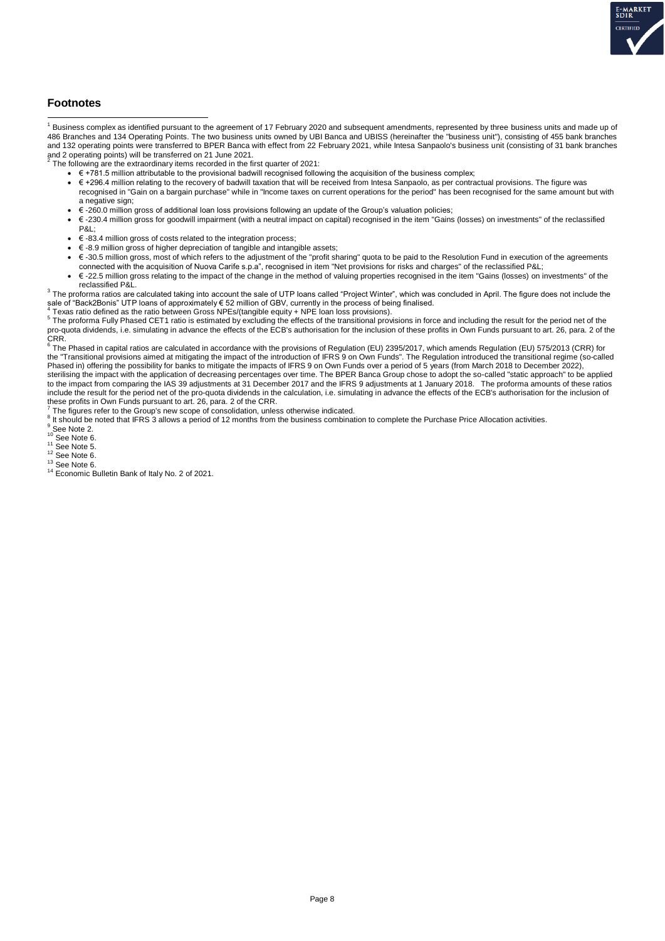

#### **Footnotes**

 1 Business complex as identified pursuant to the agreement of 17 February 2020 and subsequent amendments, represented by three business units and made up of 486 Branches and 134 Operating Points. The two business units owned by UBI Banca and UBISS (hereinafter the "business unit"), consisting of 455 bank branches<br>and 132 operating points were transferred to BPER Banca with eff and 2 operating points) will be transferred on 21 June 2021.<br><sup>2</sup> The following are the outrearding witches recorded in the fi

- The following are the extraordinary items recorded in the first quarter of 2021:
	- $\bullet$   $\in$  +781.5 million attributable to the provisional badwill recognised following the acquisition of the business complex;
	- € +296.4 million relating to the recovery of badwill taxation that will be received from Intesa Sanpaolo, as per contractual provisions. The figure was recognised in "Gain on a bargain purchase" while in "Income taxes on current operations for the period" has been recognised for the same amount but with a negative sign;
	- $\cdot$  € -260.0 million gross of additional loan loss provisions following an update of the Group's valuation policies;<br>•  $\epsilon$  -230.4 million gross for goodwill impairment (with a peutral impact on capital) recognised in t
	- € -230.4 million gross for goodwill impairment (with a neutral impact on capital) recognised in the item "Gains (losses) on investments" of the reclassified P&L;
	- € -83.4 million gross of costs related to the integration process;
	- € -8.9 million gross of higher depreciation of tangible and intangible assets;
	- € -30.5 million gross, most of which refers to the adjustment of the "profit sharing" quota to be paid to the Resolution Fund in execution of the agreements connected with the acquisition of Nuova Carife s.p.a", recognised in item "Net provisions for risks and charges" of the reclassified P&L;
	- € -22.5 million gross relating to the impact of the change in the method of valuing properties recognised in the item "Gains (losses) on investments" of the reclassified P&L.

 $^3$  The proforma ratios are calculated taking into account the sale of UTP loans called "Project Winter", which was concluded in April. The figure does not include the sale of "Back2Bonis" UTP loans of approximately € 52 million of GBV, currently in the process of being finalised.

<sup>4</sup> Texas ratio defined as the ratio between Gross NPEs/(tangible equity + NPE loan loss provisions).<br><sup>5</sup> The proforma Fully Phased CET1 ratio is estimated by excluding the effects of the transitional provisions in force a pro-quota dividends, i.e. simulating in advance the effects of the ECB's authorisation for the inclusion of these profits in Own Funds pursuant to art. 26, para. 2 of the CRR.<br><sup>6</sup> The Phased in capital ratios are calculated in accordance with the provisions of Regulation (EU) 2395/2017, which amends Regulation (EU) 575/2013 (CRR) for

the "Transitional provisions aimed at mitigating the impact of the introduction of IFRS 9 on Own Funds". The Regulation introduced the transitional regime (so-called Phased in) offering the possibility for banks to mitigate the impacts of IFRS 9 on Own Funds over a period of 5 years (from March 2018 to December 2022),

sterilising the impact with the application of decreasing percentages over time. The BPER Banca Group chose to adopt the so-called "static approach" to be applied to the impact from comparing the IAS 39 adjustments at 31 December 2017 and the IFRS 9 adjustments at 1 January 2018. The proforma amounts of these ratios include the result for the period net of the pro-quota dividends in the calculation, i.e. simulating in advance the effects of the ECB's authorisation for the inclusion of these profits in Own Funds pursuant to art. 26, para. 2 of the CRR.

7 The figures refer to the Group's new scope of consolidation, unless otherwise indicated.

 $8$  It should be noted that IFRS 3 allows a period of 12 months from the business combination to complete the Purchase Price Allocation activities.

<sup>9</sup> See Note 2.

 $10$  See Note 6.

- <sup>11</sup> See Note 5.
- $12$  See Note 6.
- $13$  See Note 6.
- <sup>14</sup> Economic Bulletin Bank of Italy No. 2 of 2021.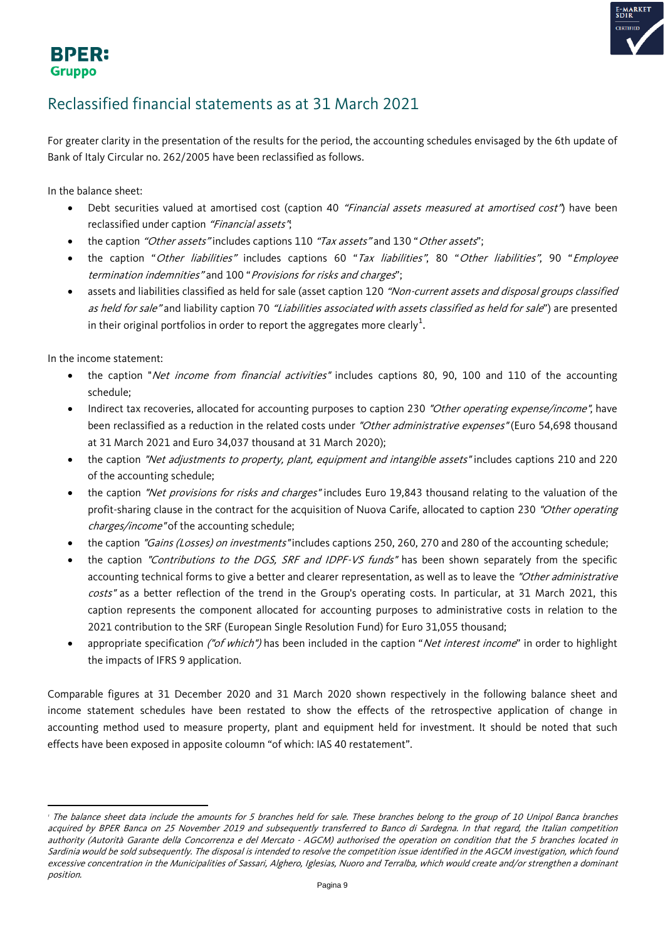

### **BPER: Gruppo**

## Reclassified financial statements as at 31 March 2021

For greater clarity in the presentation of the results for the period, the accounting schedules envisaged by the 6th update of Bank of Italy Circular no. 262/2005 have been reclassified as follows.

In the balance sheet:

- Debt securities valued at amortised cost (caption 40 "Financial assets measured at amortised cost") have been reclassified under caption "Financial assets";
- the caption "Other assets" includes captions 110 "Tax assets" and 130 "Other assets":
- the caption "Other liabilities" includes captions 60 "Tax liabilities", 80 "Other liabilities", 90 "Employee termination indemnities" and 100 "Provisions for risks and charges";
- assets and liabilities classified as held for sale (asset caption 120 "Non-current assets and disposal groups classified as held for sale" and liability caption 70 "Liabilities associated with assets classified as held for sale") are presented in their original portfolios in order to report the aggregates more clearly $^1\!\!$  $^1\!\!$  $^1\!\!$  .

In the income statement:

l

- the caption "Net income from financial activities" includes captions 80, 90, 100 and 110 of the accounting schedule;
- Indirect tax recoveries, allocated for accounting purposes to caption 230 "Other operating expense/income", have been reclassified as a reduction in the related costs under "Other administrative expenses" (Euro 54,698 thousand at 31 March 2021 and Euro 34,037 thousand at 31 March 2020);
- the caption "Net adjustments to property, plant, equipment and intangible assets" includes captions 210 and 220 of the accounting schedule;
- the caption "Net provisions for risks and charges" includes Euro 19,843 thousand relating to the valuation of the profit-sharing clause in the contract for the acquisition of Nuova Carife, allocated to caption 230 "Other operating charges/income" of the accounting schedule;
- the caption "Gains (Losses) on investments" includes captions 250, 260, 270 and 280 of the accounting schedule;
- the caption "Contributions to the DGS, SRF and IDPF-VS funds" has been shown separately from the specific accounting technical forms to give a better and clearer representation, as well as to leave the "Other administrative costs" as a better reflection of the trend in the Group's operating costs. In particular, at 31 March 2021, this caption represents the component allocated for accounting purposes to administrative costs in relation to the 2021 contribution to the SRF (European Single Resolution Fund) for Euro 31,055 thousand;
- <span id="page-8-1"></span>appropriate specification ("of which") has been included in the caption "Net interest income" in order to highlight the impacts of IFRS 9 application.

Comparable figures at 31 December 2020 and 31 March 2020 shown respectively in the following balance sheet and income statement schedules have been restated to show the effects of the retrospective application of change in accounting method used to measure property, plant and equipment held for investment. It should be noted that such effects have been exposed in apposite coloumn "of which: IAS 40 restatement".

<span id="page-8-0"></span><sup>&</sup>lt;sup>1</sup> The balance sheet data include the amounts for 5 branches held for sale. These branches belong to the group of 10 Unipol Banca branches acquired by BPER Banca on 25 November 2019 and subsequently transferred to Banco di Sardegna. In that regard, the Italian competition authority (Autorità Garante della Concorrenza e del Mercato - AGCM) authorised the operation on condition that the 5 branches located in Sardinia would be sold subsequently. The disposal is intended to resolve the competition issue identified in the AGCM investigation, which found excessive concentration in the Municipalities of Sassari, Alghero, Iglesias, Nuoro and Terralba, which would create and/or strengthen a dominant position.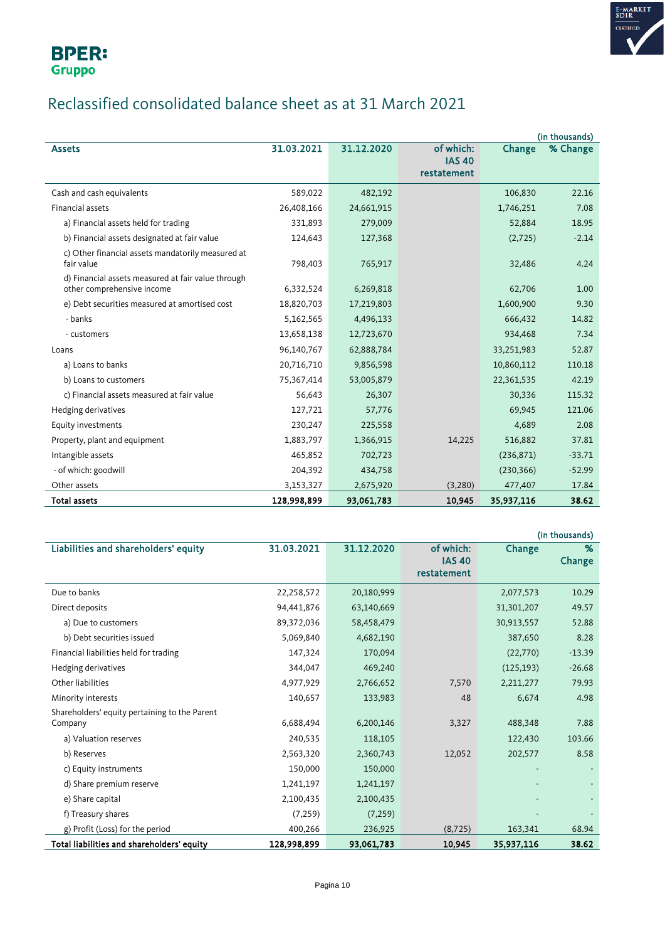

# Reclassified consolidated balance sheet as at 31 March 2021

|                                                    |             |            |                              |            | (in thousands) |
|----------------------------------------------------|-------------|------------|------------------------------|------------|----------------|
| <b>Assets</b>                                      | 31.03.2021  | 31.12.2020 | of which:                    | Change     | % Change       |
|                                                    |             |            | <b>IAS 40</b><br>restatement |            |                |
|                                                    |             |            |                              |            |                |
| Cash and cash equivalents                          | 589,022     | 482,192    |                              | 106,830    | 22.16          |
| <b>Financial assets</b>                            | 26,408,166  | 24,661,915 |                              | 1,746,251  | 7.08           |
| a) Financial assets held for trading               | 331.893     | 279,009    |                              | 52.884     | 18.95          |
| b) Financial assets designated at fair value       | 124,643     | 127,368    |                              | (2,725)    | $-2.14$        |
| c) Other financial assets mandatorily measured at  |             |            |                              |            |                |
| fair value                                         | 798,403     | 765,917    |                              | 32,486     | 4.24           |
| d) Financial assets measured at fair value through |             |            |                              |            |                |
| other comprehensive income                         | 6,332,524   | 6,269,818  |                              | 62,706     | 1.00           |
| e) Debt securities measured at amortised cost      | 18,820,703  | 17,219,803 |                              | 1,600,900  | 9.30           |
| - banks                                            | 5,162,565   | 4,496,133  |                              | 666,432    | 14.82          |
| - customers                                        | 13,658,138  | 12,723,670 |                              | 934,468    | 7.34           |
| Loans                                              | 96,140,767  | 62,888,784 |                              | 33,251,983 | 52.87          |
| a) Loans to banks                                  | 20,716,710  | 9,856,598  |                              | 10,860,112 | 110.18         |
| b) Loans to customers                              | 75,367,414  | 53,005,879 |                              | 22,361,535 | 42.19          |
| c) Financial assets measured at fair value         | 56,643      | 26,307     |                              | 30,336     | 115.32         |
| Hedging derivatives                                | 127,721     | 57,776     |                              | 69,945     | 121.06         |
| Equity investments                                 | 230,247     | 225,558    |                              | 4,689      | 2.08           |
| Property, plant and equipment                      | 1,883,797   | 1,366,915  | 14,225                       | 516,882    | 37.81          |
| Intangible assets                                  | 465,852     | 702,723    |                              | (236, 871) | $-33.71$       |
| - of which: goodwill                               | 204,392     | 434,758    |                              | (230, 366) | $-52.99$       |
| Other assets                                       | 3,153,327   | 2,675,920  | (3,280)                      | 477,407    | 17.84          |
| <b>Total assets</b>                                | 128,998,899 | 93,061,783 | 10,945                       | 35,937,116 | 38.62          |

|                                               |             |            |               |            | (in thousands) |
|-----------------------------------------------|-------------|------------|---------------|------------|----------------|
| Liabilities and shareholders' equity          | 31.03.2021  | 31.12.2020 | of which:     | Change     | %              |
|                                               |             |            | <b>IAS 40</b> |            | Change         |
|                                               |             |            | restatement   |            |                |
| Due to banks                                  | 22,258,572  | 20,180,999 |               | 2,077,573  | 10.29          |
| Direct deposits                               | 94,441,876  | 63,140,669 |               | 31,301,207 | 49.57          |
| a) Due to customers                           | 89,372,036  | 58,458,479 |               | 30,913,557 | 52.88          |
| b) Debt securities issued                     | 5,069,840   | 4,682,190  |               | 387,650    | 8.28           |
| Financial liabilities held for trading        | 147,324     | 170,094    |               | (22, 770)  | $-13.39$       |
| Hedging derivatives                           | 344,047     | 469,240    |               | (125, 193) | $-26.68$       |
| Other liabilities                             | 4,977,929   | 2,766,652  | 7,570         | 2,211,277  | 79.93          |
| Minority interests                            | 140,657     | 133,983    | 48            | 6,674      | 4.98           |
| Shareholders' equity pertaining to the Parent |             |            |               |            |                |
| Company                                       | 6,688,494   | 6,200,146  | 3,327         | 488,348    | 7.88           |
| a) Valuation reserves                         | 240,535     | 118,105    |               | 122,430    | 103.66         |
| b) Reserves                                   | 2,563,320   | 2,360,743  | 12,052        | 202,577    | 8.58           |
| c) Equity instruments                         | 150,000     | 150,000    |               |            |                |
| d) Share premium reserve                      | 1,241,197   | 1,241,197  |               |            |                |
| e) Share capital                              | 2,100,435   | 2,100,435  |               |            |                |
| f) Treasury shares                            | (7, 259)    | (7, 259)   |               |            |                |
| g) Profit (Loss) for the period               | 400,266     | 236,925    | (8, 725)      | 163,341    | 68.94          |
| Total liabilities and shareholders' equity    | 128,998,899 | 93,061,783 | 10,945        | 35,937,116 | 38.62          |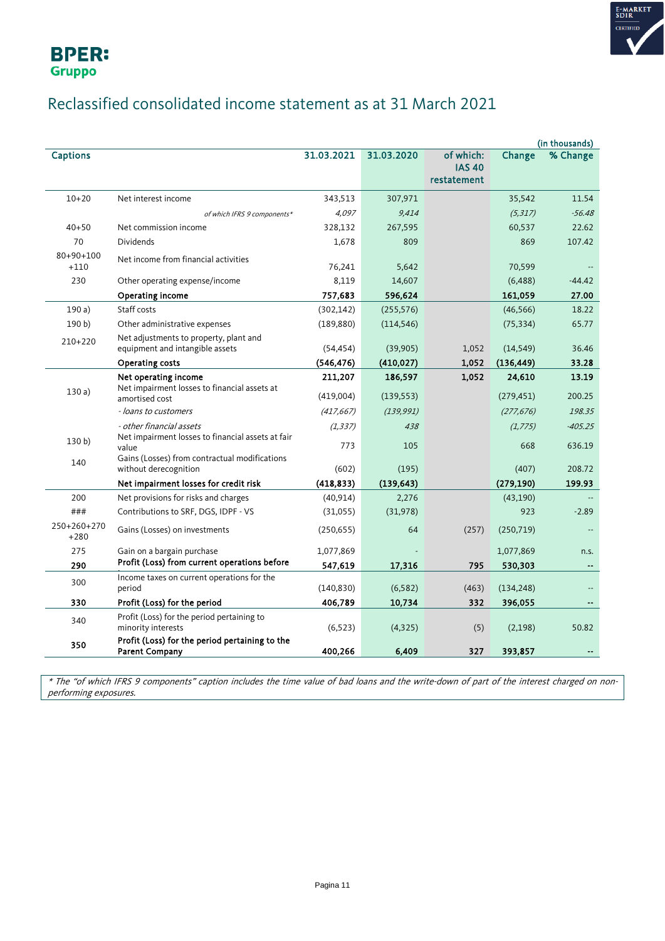



## Reclassified consolidated income statement as at 31 March 2021

|                       |                                                                         |            |            |                              |            | (in thousands) |
|-----------------------|-------------------------------------------------------------------------|------------|------------|------------------------------|------------|----------------|
| <b>Captions</b>       |                                                                         | 31.03.2021 | 31.03.2020 | of which:                    | Change     | % Change       |
|                       |                                                                         |            |            | <b>IAS 40</b><br>restatement |            |                |
|                       |                                                                         |            |            |                              |            |                |
| $10 + 20$             | Net interest income                                                     | 343,513    | 307,971    |                              | 35,542     | 11.54          |
|                       | of which IFRS 9 components*                                             | 4,097      | 9,414      |                              | (5, 317)   | $-56.48$       |
| $40 + 50$             | Net commission income                                                   | 328,132    | 267,595    |                              | 60,537     | 22.62          |
| 70                    | <b>Dividends</b>                                                        | 1,678      | 809        |                              | 869        | 107.42         |
| 80+90+100<br>$+110$   | Net income from financial activities                                    | 76,241     | 5,642      |                              | 70,599     |                |
| 230                   | Other operating expense/income                                          | 8,119      | 14,607     |                              | (6, 488)   | $-44.42$       |
|                       | Operating income                                                        | 757,683    | 596,624    |                              | 161,059    | 27.00          |
| 190a)                 | Staff costs                                                             | (302, 142) | (255, 576) |                              | (46, 566)  | 18.22          |
| 190 b                 | Other administrative expenses                                           | (189, 880) | (114, 546) |                              | (75, 334)  | 65.77          |
| 210+220               | Net adjustments to property, plant and                                  |            |            |                              |            |                |
|                       | equipment and intangible assets                                         | (54, 454)  | (39,905)   | 1,052                        | (14, 549)  | 36.46          |
|                       | <b>Operating costs</b>                                                  | (546, 476) | (410, 027) | 1,052                        | (136, 449) | 33.28          |
|                       | Net operating income<br>Net impairment losses to financial assets at    | 211,207    | 186,597    | 1,052                        | 24,610     | 13.19          |
| 130a)                 | amortised cost                                                          | (419,004)  | (139, 553) |                              | (279, 451) | 200.25         |
|                       | - loans to customers                                                    | (417, 667) | (139, 991) |                              | (277, 676) | 198.35         |
|                       | - other financial assets                                                | (1, 337)   | 438        |                              | (1, 775)   | $-405.25$      |
| 130 <sub>b</sub>      | Net impairment losses to financial assets at fair<br>value              | 773        | 105        |                              | 668        | 636.19         |
|                       | Gains (Losses) from contractual modifications                           |            |            |                              |            |                |
| 140                   | without derecognition                                                   | (602)      | (195)      |                              | (407)      | 208.72         |
|                       | Net impairment losses for credit risk                                   | (418, 833) | (139, 643) |                              | (279, 190) | 199.93         |
| 200                   | Net provisions for risks and charges                                    | (40, 914)  | 2,276      |                              | (43, 190)  |                |
| ###                   | Contributions to SRF, DGS, IDPF - VS                                    | (31,055)   | (31, 978)  |                              | 923        | $-2.89$        |
| 250+260+270<br>$+280$ | Gains (Losses) on investments                                           | (250, 655) | 64         | (257)                        | (250, 719) |                |
| 275                   | Gain on a bargain purchase                                              | 1,077,869  |            |                              | 1,077,869  | n.s.           |
| 290                   | Profit (Loss) from current operations before                            | 547,619    | 17,316     | 795                          | 530,303    | $\overline{a}$ |
| 300                   | Income taxes on current operations for the<br>period                    | (140, 830) | (6, 582)   | (463)                        | (134, 248) |                |
| 330                   | Profit (Loss) for the period                                            | 406,789    | 10,734     | 332                          | 396,055    |                |
| 340                   | Profit (Loss) for the period pertaining to<br>minority interests        | (6, 523)   | (4, 325)   | (5)                          | (2,198)    | 50.82          |
| 350                   | Profit (Loss) for the period pertaining to the<br><b>Parent Company</b> | 400,266    | 6,409      | 327                          | 393,857    |                |

\* The "of which IFRS 9 components" caption includes the time value of bad loans and the write-down of part of the interest charged on nonperforming exposures.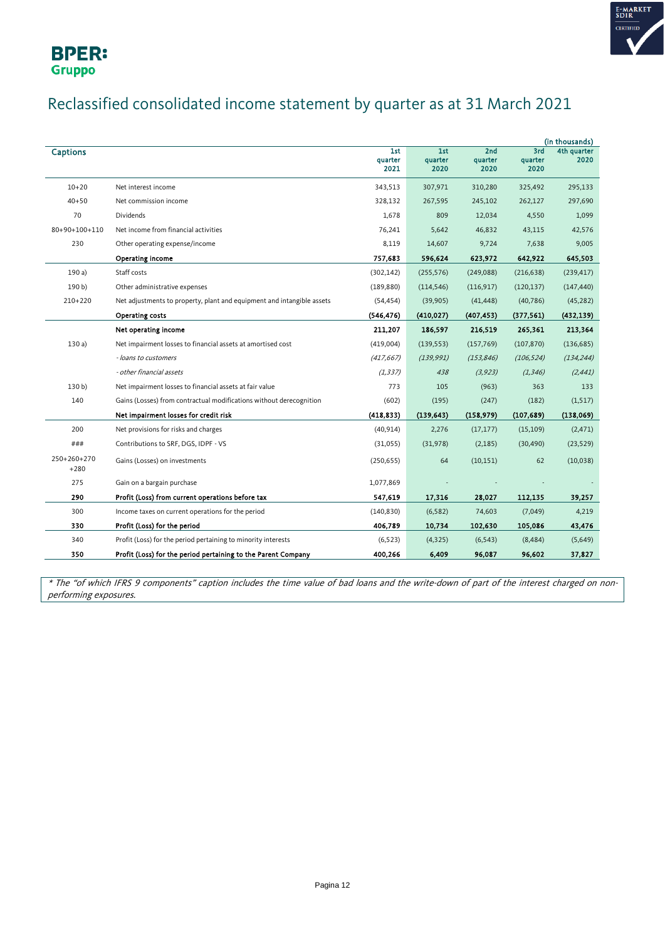



## Reclassified consolidated income statement by quarter as at 31 March 2021

|                       |                                                                        |                        |                        |                        |                        | (in thousands)      |
|-----------------------|------------------------------------------------------------------------|------------------------|------------------------|------------------------|------------------------|---------------------|
| <b>Captions</b>       |                                                                        | 1st<br>quarter<br>2021 | 1st<br>quarter<br>2020 | 2nd<br>quarter<br>2020 | 3rd<br>quarter<br>2020 | 4th quarter<br>2020 |
| $10 + 20$             | Net interest income                                                    | 343,513                | 307,971                | 310,280                | 325,492                | 295,133             |
| $40 + 50$             | Net commission income                                                  | 328,132                | 267,595                | 245,102                | 262,127                | 297,690             |
| 70                    | <b>Dividends</b>                                                       | 1,678                  | 809                    | 12,034                 | 4,550                  | 1,099               |
| 80+90+100+110         | Net income from financial activities                                   | 76,241                 | 5,642                  | 46,832                 | 43,115                 | 42,576              |
| 230                   | Other operating expense/income                                         | 8,119                  | 14,607                 | 9,724                  | 7,638                  | 9,005               |
|                       | Operating income                                                       | 757,683                | 596,624                | 623,972                | 642,922                | 645,503             |
| 190a                  | Staff costs                                                            | (302, 142)             | (255, 576)             | (249,088)              | (216, 638)             | (239, 417)          |
| 190 b)                | Other administrative expenses                                          | (189, 880)             | (114, 546)             | (116, 917)             | (120, 137)             | (147, 440)          |
| $210+220$             | Net adjustments to property, plant and equipment and intangible assets | (54, 454)              | (39, 905)              | (41, 448)              | (40, 786)              | (45, 282)           |
|                       | Operating costs                                                        | (546, 476)             | (410, 027)             | (407, 453)             | (377, 561)             | (432, 139)          |
|                       | Net operating income                                                   | 211,207                | 186,597                | 216,519                | 265,361                | 213,364             |
| 130a                  | Net impairment losses to financial assets at amortised cost            | (419,004)              | (139, 553)             | (157, 769)             | (107, 870)             | (136, 685)          |
|                       | - loans to customers                                                   | (417, 667)             | (139, 991)             | (153, 846)             | (106, 524)             | (134, 244)          |
|                       | - other financial assets                                               | (1, 337)               | 438                    | (3, 923)               | (1, 346)               | (2, 441)            |
| 130 <sub>b</sub>      | Net impairment losses to financial assets at fair value                | 773                    | 105                    | (963)                  | 363                    | 133                 |
| 140                   | Gains (Losses) from contractual modifications without derecognition    | (602)                  | (195)                  | (247)                  | (182)                  | (1, 517)            |
|                       | Net impairment losses for credit risk                                  | (418, 833)             | (139, 643)             | (158, 979)             | (107, 689)             | (138,069)           |
| 200                   | Net provisions for risks and charges                                   | (40, 914)              | 2,276                  | (17, 177)              | (15, 109)              | (2, 471)            |
| ###                   | Contributions to SRF, DGS, IDPF - VS                                   | (31,055)               | (31, 978)              | (2, 185)               | (30, 490)              | (23, 529)           |
| 250+260+270<br>$+280$ | Gains (Losses) on investments                                          | (250, 655)             | 64                     | (10, 151)              | 62                     | (10,038)            |
| 275                   | Gain on a bargain purchase                                             | 1,077,869              |                        |                        |                        |                     |
| 290                   | Profit (Loss) from current operations before tax                       | 547,619                | 17,316                 | 28,027                 | 112,135                | 39,257              |
| 300                   | Income taxes on current operations for the period                      | (140, 830)             | (6, 582)               | 74,603                 | (7,049)                | 4,219               |
| 330                   | Profit (Loss) for the period                                           | 406,789                | 10,734                 | 102,630                | 105,086                | 43,476              |
| 340                   | Profit (Loss) for the period pertaining to minority interests          | (6, 523)               | (4, 325)               | (6, 543)               | (8, 484)               | (5,649)             |
| 350                   | Profit (Loss) for the period pertaining to the Parent Company          | 400,266                | 6,409                  | 96,087                 | 96,602                 | 37,827              |

\* The "of which IFRS 9 components" caption includes the time value of bad loans and the write-down of part of the interest charged on nonperforming exposures.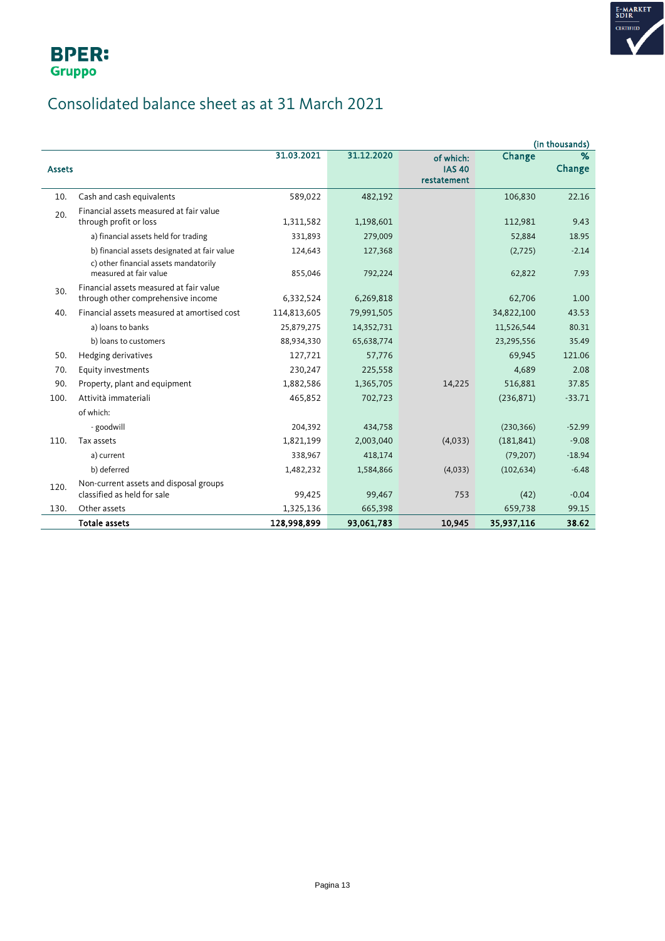



## Consolidated balance sheet as at 31 March 2021

|               |                                                                                                                 |                    |                    |                                           |                   | (in thousands)  |
|---------------|-----------------------------------------------------------------------------------------------------------------|--------------------|--------------------|-------------------------------------------|-------------------|-----------------|
| <b>Assets</b> |                                                                                                                 | 31.03.2021         | 31.12.2020         | of which:<br><b>IAS 40</b><br>restatement | Change            | %<br>Change     |
| 10.           | Cash and cash equivalents                                                                                       | 589,022            | 482,192            |                                           | 106,830           | 22.16           |
| 20.           | Financial assets measured at fair value<br>through profit or loss                                               | 1,311,582          | 1,198,601          |                                           | 112,981           | 9.43            |
|               | a) financial assets held for trading                                                                            | 331,893            | 279,009            |                                           | 52,884            | 18.95           |
|               | b) financial assets designated at fair value<br>c) other financial assets mandatorily<br>measured at fair value | 124,643<br>855,046 | 127,368<br>792,224 |                                           | (2,725)<br>62,822 | $-2.14$<br>7.93 |
| 30.           | Financial assets measured at fair value<br>through other comprehensive income                                   | 6,332,524          | 6,269,818          |                                           | 62,706            | 1.00            |
| 40.           | Financial assets measured at amortised cost                                                                     | 114,813,605        | 79,991,505         |                                           | 34,822,100        | 43.53           |
|               | a) loans to banks                                                                                               | 25,879,275         | 14,352,731         |                                           | 11,526,544        | 80.31           |
|               | b) loans to customers                                                                                           | 88,934,330         | 65,638,774         |                                           | 23,295,556        | 35.49           |
| 50.           | Hedging derivatives                                                                                             | 127,721            | 57,776             |                                           | 69,945            | 121.06          |
| 70.           | Equity investments                                                                                              | 230,247            | 225,558            |                                           | 4,689             | 2.08            |
| 90.           | Property, plant and equipment                                                                                   | 1,882,586          | 1,365,705          | 14,225                                    | 516,881           | 37.85           |
| 100.          | Attività immateriali                                                                                            | 465,852            | 702,723            |                                           | (236, 871)        | $-33.71$        |
|               | of which:                                                                                                       |                    |                    |                                           |                   |                 |
|               | - goodwill                                                                                                      | 204,392            | 434,758            |                                           | (230, 366)        | $-52.99$        |
| 110.          | Tax assets                                                                                                      | 1,821,199          | 2,003,040          | (4,033)                                   | (181, 841)        | $-9.08$         |
|               | a) current                                                                                                      | 338,967            | 418,174            |                                           | (79, 207)         | $-18.94$        |
|               | b) deferred                                                                                                     | 1,482,232          | 1,584,866          | (4,033)                                   | (102, 634)        | $-6.48$         |
| 120.          | Non-current assets and disposal groups<br>classified as held for sale                                           | 99,425             | 99,467             | 753                                       | (42)              | $-0.04$         |
| 130.          | Other assets                                                                                                    | 1,325,136          | 665,398            |                                           | 659,738           | 99.15           |
|               | <b>Totale assets</b>                                                                                            | 128,998,899        | 93,061,783         | 10,945                                    | 35,937,116        | 38.62           |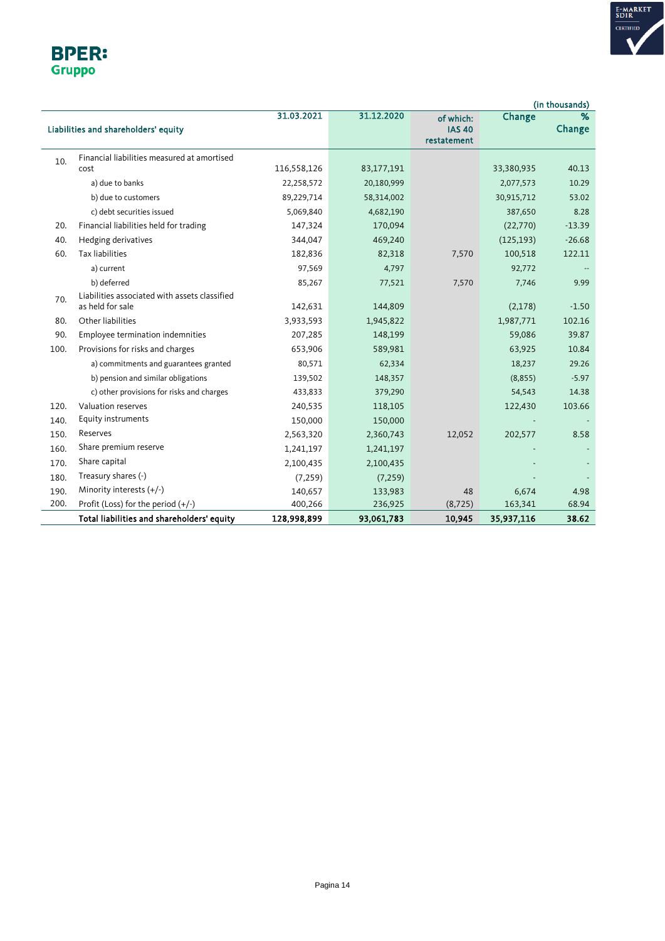

| <b>BPER:</b>  |
|---------------|
| <b>Gruppo</b> |

|      |                                                                   |             |            |                                           |            | (in thousands) |
|------|-------------------------------------------------------------------|-------------|------------|-------------------------------------------|------------|----------------|
|      | Liabilities and shareholders' equity                              | 31.03.2021  | 31.12.2020 | of which:<br><b>IAS 40</b><br>restatement | Change     | %<br>Change    |
| 10.  | Financial liabilities measured at amortised                       |             |            |                                           |            |                |
|      | cost                                                              | 116,558,126 | 83,177,191 |                                           | 33,380,935 | 40.13          |
|      | a) due to banks                                                   | 22,258,572  | 20,180,999 |                                           | 2,077,573  | 10.29          |
|      | b) due to customers                                               | 89,229,714  | 58,314,002 |                                           | 30,915,712 | 53.02          |
|      | c) debt securities issued                                         | 5,069,840   | 4,682,190  |                                           | 387,650    | 8.28           |
| 20.  | Financial liabilities held for trading                            | 147,324     | 170,094    |                                           | (22,770)   | $-13.39$       |
| 40.  | Hedging derivatives                                               | 344,047     | 469,240    |                                           | (125, 193) | $-26.68$       |
| 60.  | <b>Tax liabilities</b>                                            | 182,836     | 82,318     | 7,570                                     | 100,518    | 122.11         |
|      | a) current                                                        | 97,569      | 4,797      |                                           | 92,772     |                |
|      | b) deferred                                                       | 85,267      | 77,521     | 7,570                                     | 7,746      | 9.99           |
| 70.  | Liabilities associated with assets classified<br>as held for sale | 142,631     | 144,809    |                                           | (2,178)    | $-1.50$        |
| 80.  | Other liabilities                                                 | 3,933,593   | 1,945,822  |                                           | 1,987,771  | 102.16         |
| 90.  | Employee termination indemnities                                  | 207,285     | 148,199    |                                           | 59,086     | 39.87          |
| 100. | Provisions for risks and charges                                  | 653,906     | 589,981    |                                           | 63,925     | 10.84          |
|      | a) commitments and guarantees granted                             | 80,571      | 62,334     |                                           | 18,237     | 29.26          |
|      | b) pension and similar obligations                                | 139,502     | 148,357    |                                           | (8, 855)   | $-5.97$        |
|      | c) other provisions for risks and charges                         | 433,833     | 379,290    |                                           | 54,543     | 14.38          |
| 120. | Valuation reserves                                                | 240,535     | 118,105    |                                           | 122,430    | 103.66         |
| 140. | Equity instruments                                                | 150,000     | 150,000    |                                           |            |                |
| 150. | Reserves                                                          | 2,563,320   | 2,360,743  | 12,052                                    | 202,577    | 8.58           |
| 160. | Share premium reserve                                             | 1,241,197   | 1,241,197  |                                           |            |                |
| 170. | Share capital                                                     | 2,100,435   | 2,100,435  |                                           |            |                |
| 180. | Treasury shares (-)                                               | (7, 259)    | (7, 259)   |                                           |            |                |
| 190. | Minority interests $(+/-)$                                        | 140,657     | 133,983    | 48                                        | 6,674      | 4.98           |
| 200. | Profit (Loss) for the period $(+/-)$                              | 400,266     | 236,925    | (8, 725)                                  | 163,341    | 68.94          |
|      | Total liabilities and shareholders' equity                        | 128,998,899 | 93,061,783 | 10,945                                    | 35,937,116 | 38.62          |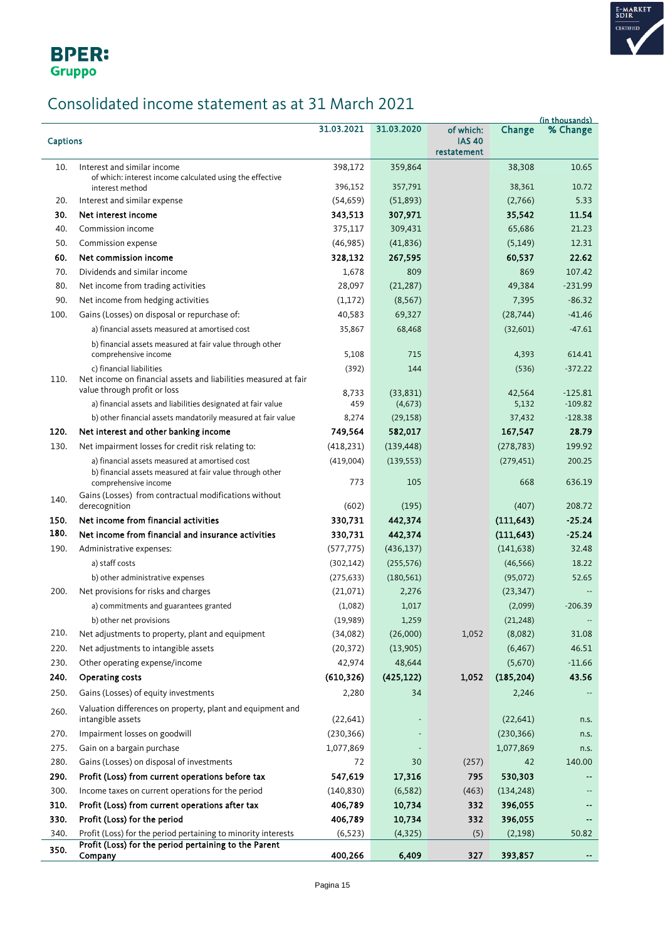

## Consolidated income statement as at 31 March 2021

|                 |                                                                                                 |                      |                      |                                           |                   | (in thousands) |
|-----------------|-------------------------------------------------------------------------------------------------|----------------------|----------------------|-------------------------------------------|-------------------|----------------|
| <b>Captions</b> |                                                                                                 | 31.03.2021           | 31.03.2020           | of which:<br><b>IAS 40</b><br>restatement | Change            | % Change       |
| 10.             | Interest and similar income                                                                     | 398,172              | 359,864              |                                           | 38,308            | 10.65          |
|                 | of which: interest income calculated using the effective                                        |                      |                      |                                           |                   | 10.72          |
| 20.             | interest method<br>Interest and similar expense                                                 | 396,152              | 357,791              |                                           | 38,361<br>(2,766) | 5.33           |
| 30.             | Net interest income                                                                             | (54, 659)<br>343,513 | (51, 893)<br>307,971 |                                           | 35,542            | 11.54          |
| 40.             | Commission income                                                                               | 375,117              | 309,431              |                                           | 65,686            | 21.23          |
| 50.             | Commission expense                                                                              | (46, 985)            | (41,836)             |                                           | (5, 149)          | 12.31          |
| 60.             | Net commission income                                                                           | 328,132              | 267,595              |                                           | 60,537            | 22.62          |
| 70.             | Dividends and similar income                                                                    | 1,678                | 809                  |                                           | 869               | 107.42         |
| 80.             | Net income from trading activities                                                              | 28,097               | (21, 287)            |                                           | 49,384            | $-231.99$      |
| 90.             | Net income from hedging activities                                                              | (1, 172)             | (8, 567)             |                                           | 7,395             | $-86.32$       |
| 100.            | Gains (Losses) on disposal or repurchase of:                                                    | 40,583               | 69,327               |                                           | (28, 744)         | $-41.46$       |
|                 | a) financial assets measured at amortised cost                                                  | 35,867               | 68,468               |                                           | (32,601)          | $-47.61$       |
|                 |                                                                                                 |                      |                      |                                           |                   |                |
|                 | b) financial assets measured at fair value through other<br>comprehensive income                | 5,108                | 715                  |                                           | 4,393             | 614.41         |
|                 | c) financial liabilities                                                                        | (392)                | 144                  |                                           | (536)             | $-372.22$      |
| 110.            | Net income on financial assets and liabilities measured at fair<br>value through profit or loss | 8,733                | (33,831)             |                                           | 42,564            | $-125.81$      |
|                 | a) financial assets and liabilities designated at fair value                                    | 459                  | (4, 673)             |                                           | 5,132             | $-109.82$      |
|                 | b) other financial assets mandatorily measured at fair value                                    | 8,274                | (29, 158)            |                                           | 37,432            | $-128.38$      |
| 120.            | Net interest and other banking income                                                           | 749,564              | 582,017              |                                           | 167,547           | 28.79          |
| 130.            | Net impairment losses for credit risk relating to:                                              | (418, 231)           | (139, 448)           |                                           | (278, 783)        | 199.92         |
|                 | a) financial assets measured at amortised cost                                                  | (419,004)            | (139, 553)           |                                           | (279, 451)        | 200.25         |
|                 | b) financial assets measured at fair value through other<br>comprehensive income                | 773                  | 105                  |                                           | 668               | 636.19         |
| 140.            | Gains (Losses) from contractual modifications without<br>derecognition                          | (602)                | (195)                |                                           | (407)             | 208.72         |
| 150.            | Net income from financial activities                                                            | 330,731              | 442,374              |                                           | (111, 643)        | $-25.24$       |
| 180.            | Net income from financial and insurance activities                                              | 330,731              | 442,374              |                                           | (111, 643)        | $-25.24$       |
| 190.            | Administrative expenses:                                                                        | (577, 775)           | (436, 137)           |                                           | (141, 638)        | 32.48          |
|                 | a) staff costs                                                                                  | (302, 142)           | (255, 576)           |                                           | (46, 566)         | 18.22          |
|                 | b) other administrative expenses                                                                | (275, 633)           | (180, 561)           |                                           | (95,072)          | 52.65          |
| 200.            | Net provisions for risks and charges                                                            | (21,071)             | 2,276                |                                           | (23, 347)         |                |
|                 | a) commitments and guarantees granted                                                           | (1,082)              | 1,017                |                                           | (2,099)           | $-206.39$      |
|                 | b) other net provisions                                                                         | (19,989)             | 1,259                |                                           | (21, 248)         |                |
| 210.            | Net adjustments to property, plant and equipment                                                | (34,082)             | (26,000)             | 1,052                                     | (8,082)           | 31.08          |
| 220.            | Net adjustments to intangible assets                                                            | (20, 372)            | (13,905)             |                                           | (6, 467)          | 46.51          |
| 230.            | Other operating expense/income                                                                  | 42,974               | 48,644               |                                           | (5,670)           | $-11.66$       |
| 240.            | Operating costs                                                                                 | (610, 326)           | (425, 122)           | 1,052                                     | (185, 204)        | 43.56          |
| 250.            | Gains (Losses) of equity investments                                                            | 2,280                | 34                   |                                           | 2,246             |                |
| 260.            | Valuation differences on property, plant and equipment and<br>intangible assets                 | (22, 641)            |                      |                                           | (22, 641)         | n.s.           |
| 270.            | Impairment losses on goodwill                                                                   | (230, 366)           |                      |                                           | (230, 366)        | n.s.           |
| 275.            | Gain on a bargain purchase                                                                      | 1,077,869            |                      |                                           | 1,077,869         | n.s.           |
| 280.            | Gains (Losses) on disposal of investments                                                       | 72                   | 30                   | (257)                                     | 42                | 140.00         |
| 290.            | Profit (Loss) from current operations before tax                                                | 547,619              | 17,316               | 795                                       | 530,303           |                |
| 300.            | Income taxes on current operations for the period                                               | (140, 830)           | (6, 582)             | (463)                                     | (134, 248)        |                |
| 310.            | Profit (Loss) from current operations after tax                                                 | 406,789              | 10,734               | 332                                       | 396,055           |                |
| 330.            | Profit (Loss) for the period                                                                    | 406,789              | 10,734               | 332                                       | 396,055           |                |
| 340.            | Profit (Loss) for the period pertaining to minority interests                                   | (6, 523)             | (4, 325)             | (5)                                       | (2,198)           | 50.82          |
| 350.            | Profit (Loss) for the period pertaining to the Parent                                           |                      |                      |                                           |                   |                |
|                 | Company                                                                                         | 400,266              | 6,409                | 327                                       | 393,857           |                |

E-MARKET<br>SDIR<br>CERTIFIED